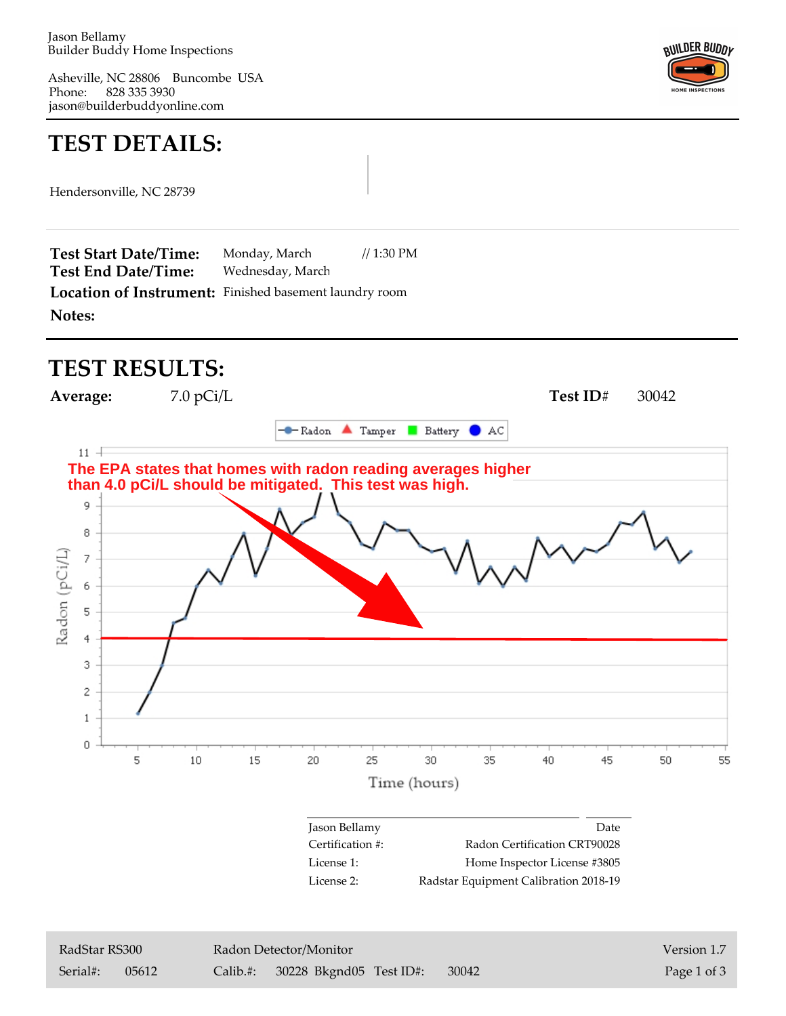Phone: Asheville, NC 28806 Buncombe USA 828 335 3930 jason@builderbuddyonline.com



## **TEST DETAILS:**

Hendersonville, NC 28739

**Notes: Location of Instrument:** Finished basement laundry room Wednesday, March Monday, March // 1:30 PM **Test End Date/Time: Test Start Date/Time:**

## **TEST RESULTS:**